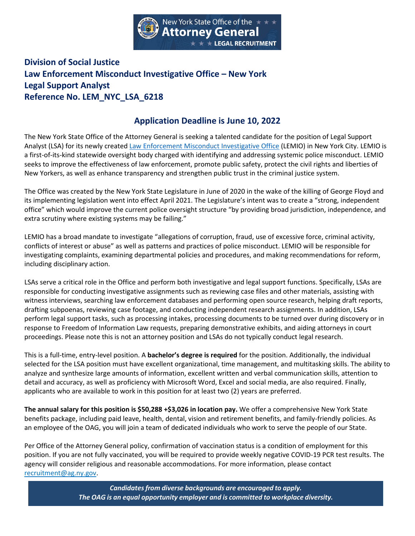

## **Division of Social Justice Law Enforcement Misconduct Investigative Office – New York Legal Support Analyst Reference No. LEM\_NYC\_LSA\_6218**

## **Application Deadline is June 10, 2022**

The New York State Office of the Attorney General is seeking a talented candidate for the position of Legal Support Analyst (LSA) for its newly created [Law Enforcement Misconduct Investigative Office](https://ag.ny.gov/bureau/LEMIO) (LEMIO) in New York City. LEMIO is a first-of-its-kind statewide oversight body charged with identifying and addressing systemic police misconduct. LEMIO seeks to improve the effectiveness of law enforcement, promote public safety, protect the civil rights and liberties of New Yorkers, as well as enhance transparency and strengthen public trust in the criminal justice system.

The Office was created by the New York State Legislature in June of 2020 in the wake of the killing of George Floyd and its implementing legislation went into effect April 2021. The Legislature's intent was to create a "strong, independent office" which would improve the current police oversight structure "by providing broad jurisdiction, independence, and extra scrutiny where existing systems may be failing."

LEMIO has a broad mandate to investigate "allegations of corruption, fraud, use of excessive force, criminal activity, conflicts of interest or abuse" as well as patterns and practices of police misconduct. LEMIO will be responsible for investigating complaints, examining departmental policies and procedures, and making recommendations for reform, including disciplinary action.

LSAs serve a critical role in the Office and perform both investigative and legal support functions. Specifically, LSAs are responsible for conducting investigative assignments such as reviewing case files and other materials, assisting with witness interviews, searching law enforcement databases and performing open source research, helping draft reports, drafting subpoenas, reviewing case footage, and conducting independent research assignments. In addition, LSAs perform legal support tasks, such as processing intakes, processing documents to be turned over during discovery or in response to Freedom of Information Law requests, preparing demonstrative exhibits, and aiding attorneys in court proceedings. Please note this is not an attorney position and LSAs do not typically conduct legal research.

This is a full-time, entry-level position. A **bachelor's degree is required** for the position. Additionally, the individual selected for the LSA position must have excellent organizational, time management, and multitasking skills. The ability to analyze and synthesize large amounts of information, excellent written and verbal communication skills, attention to detail and accuracy, as well as proficiency with Microsoft Word, Excel and social media, are also required. Finally, applicants who are available to work in this position for at least two (2) years are preferred.

**The annual salary for this position is \$50,288 +\$3,026 in location pay.** We offer a comprehensive New York State benefits package, including paid leave, health, dental, vision and retirement benefits, and family-friendly policies. As an employee of the OAG, you will join a team of dedicated individuals who work to serve the people of our State.

Per Office of the Attorney General policy, confirmation of vaccination status is a condition of employment for this position. If you are not fully vaccinated, you will be required to provide weekly negative COVID-19 PCR test results. The agency will consider religious and reasonable accommodations. For more information, please contact [recruitment@ag.ny.gov.](mailto:Recruitment@ag.ny.gov)

> *Candidatesfrom diverse backgrounds are encouraged to apply. The OAG is an equal opportunity employer and is committed to workplace diversity.*